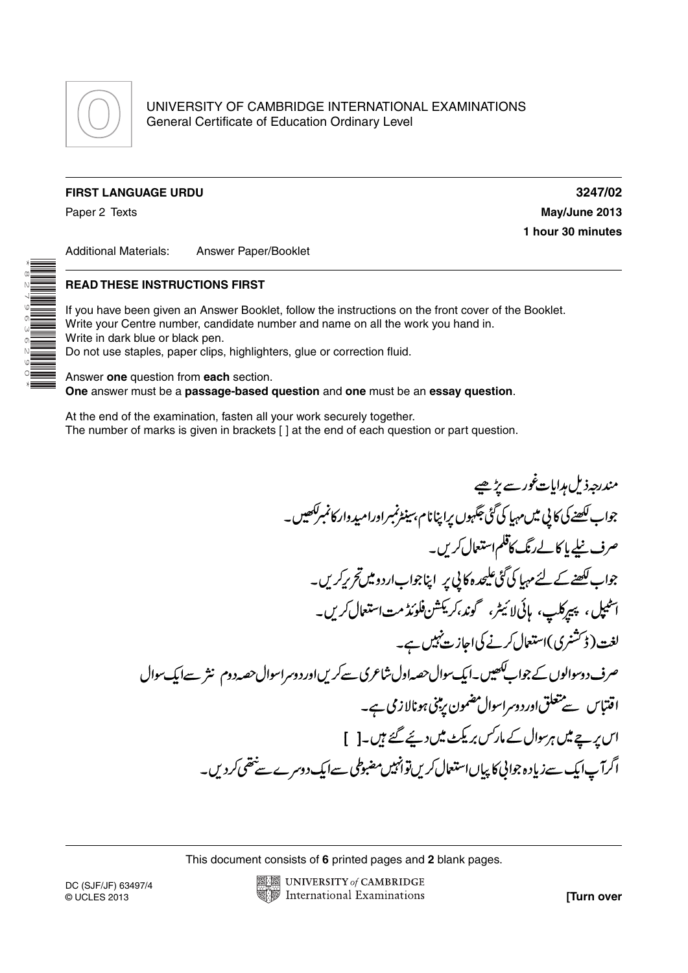

### **FIRST LANGUAGE URDU 3247/02**

\*8279636290\*

Paper 2 Texts **May/June 2013 1 hour 30 minutes**

Additional Materials: Answer Paper/Booklet

### **READ THESE INSTRUCTIONS FIRST**

If you have been given an Answer Booklet, follow the instructions on the front cover of the Booklet. Write your Centre number, candidate number and name on all the work you hand in. Write in dark blue or black pen. Do not use staples, paper clips, highlighters, glue or correction fluid.

Answer **one** question from **each** section. **One** answer must be a **passage-based question** and **one** must be an **essay question**.

At the end of the examination, fasten all your work securely together. The number of marks is given in brackets [ ] at the end of each question or part question.

This document consists of **6** printed pages and **2** blank pages.

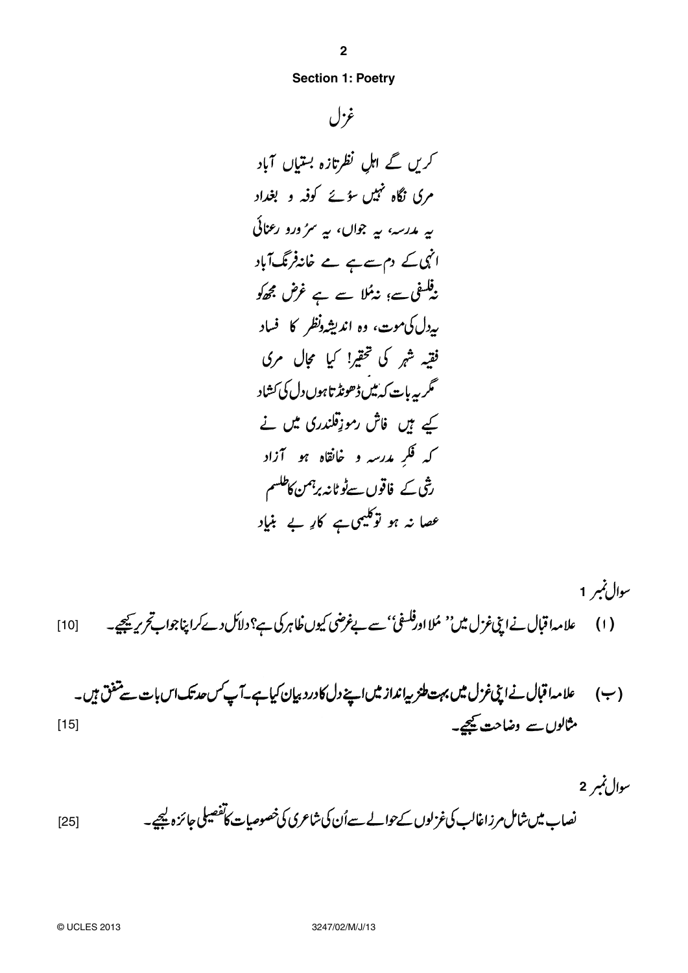**Section 1: Poetry**

غزل

[10] **1**

[15]

[25] **2**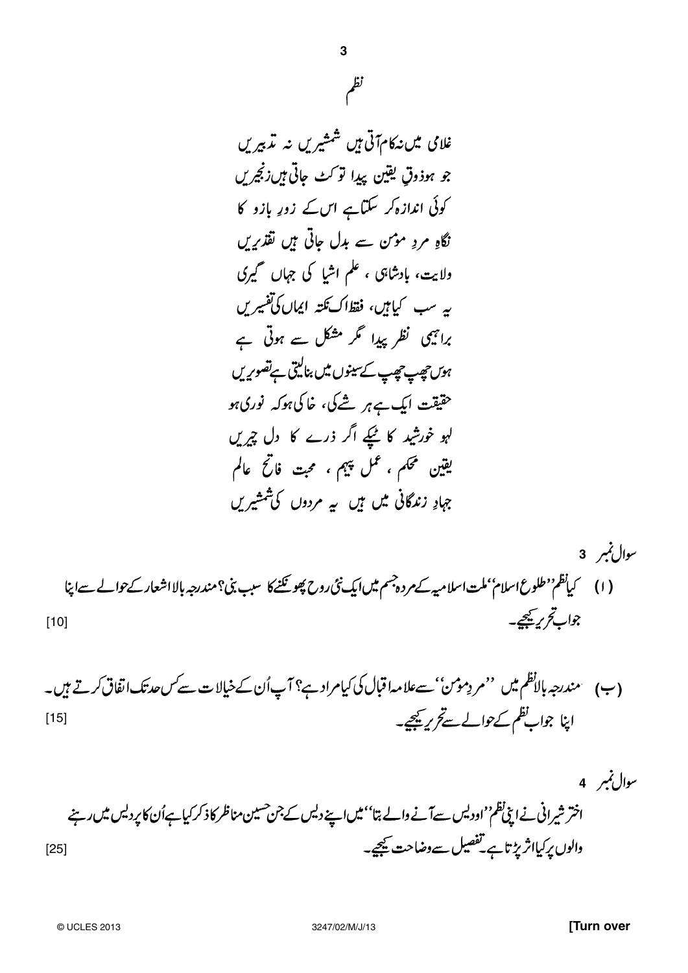**3**

**3** [10]

[15]

[25] **4**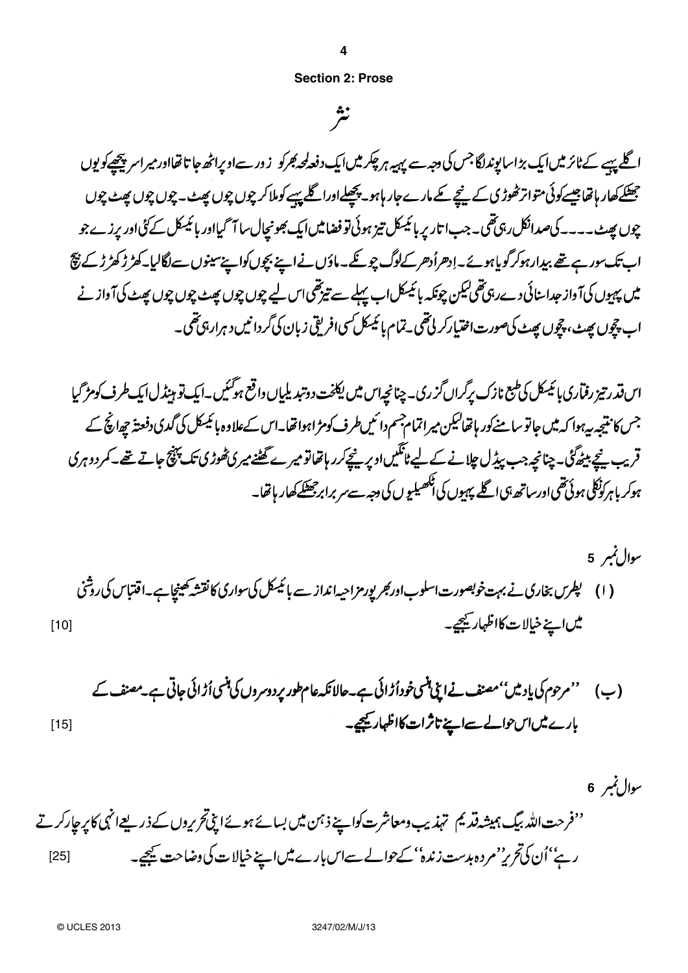#### **Section 2: Prose**

**4**

نثر

<u>اگلے پہ</u>ے کے ٹائر میں ایک بڑاسا پوندلگا جس کی دیے۔ یہ پہر ہر چکر میں ایک دفع*لحہ بھرک*و زور سےاوپراٹھ جا تا تھااور میر اسر پیچھےکو پوں جھنکے کھار ہاتھا جیسے کوئی متواتر ٹھوڑی کے پنچے کے مارے جار ہاہو۔ پچھلےاورا گلے پہے کوملاکر چوں چوں پھی پی پی چوں چیت چوں چوں پھٹ۔۔۔۔کیصدانکل رہی تھی۔جب اتار پر بائیسکل تیز ہوئی تو فضامیں ایک بھونچال سا آ گیااور بائیسکل کے ٹی اور پرزے جو اب تک سور ہے تھے بیدارہوکرگو پاہوئے۔اِدھراُدھرکےلوگ چوٹکے۔ماوَں نے اپنے بچوںکواپنےسینوں سےلگالیا۔کھڑ ڑھڑ ڑے نچ میں پہیوں کی آواز جداسنائی دےرہی تھی لیکن چونکہ بائیسکل اب پہلے سے تیز تھی اس لیے چوں چوں پھٹ چوں چوں پھٹ کی آواز نے اب چوں پھٹ، چوں پھٹ کی صورت اختیارکر لی تھی۔تمام ہائیسکل کسی افریقی زبان کی گردا نیں د ہرار ہی تھی۔

اس قدر تیز رفآری بائیسکل کی طبع نازک پرگراں گز ری۔چنانچہاس میں لیکنت دوتبدیلیاں داقع ہوگئیں۔ایک تو ہینڈل ایک طرف کومڑ گیا جس کانتیجہ بیہ بوا کہ میں جاتو سامنےکور ہاتھالیکن میراتمام جسم دائمیںطرف کومڑ اہواتھا۔اس کےعلاوہ بائیسکل کی گدی دفعتۂ حیدالچّ کے قریب ییچ بیٹھ گئ ۔ چنانچہ جب پیڈل چلانے کے لیے ٹائکیں اوپر ییچ کرر ہاتھا تو میرے گھنٹے میری ٹھوڑی تک پینچ جاتے تھے۔ کمر دوہری ہوکر ماہر کونکل ہوئی تھی اور ساتھ ہی اگلے پہوں کی انگھیلیو ں کی دجہ سے سر برابر جھٹکے کھار ہاتھا۔

سوال *نمبر* 5 (۱) پطرس بخاری نے بہت خوبصورت اسلوباور مجر پورمزاحیہانداز سے ہائیسکل کی سواری کانقشہ کھینچاہے۔اقتباس کی روشنی میں اپنے خیالات کااظہار <u>س</u>چیے۔ [10]

[15]

[25] **6**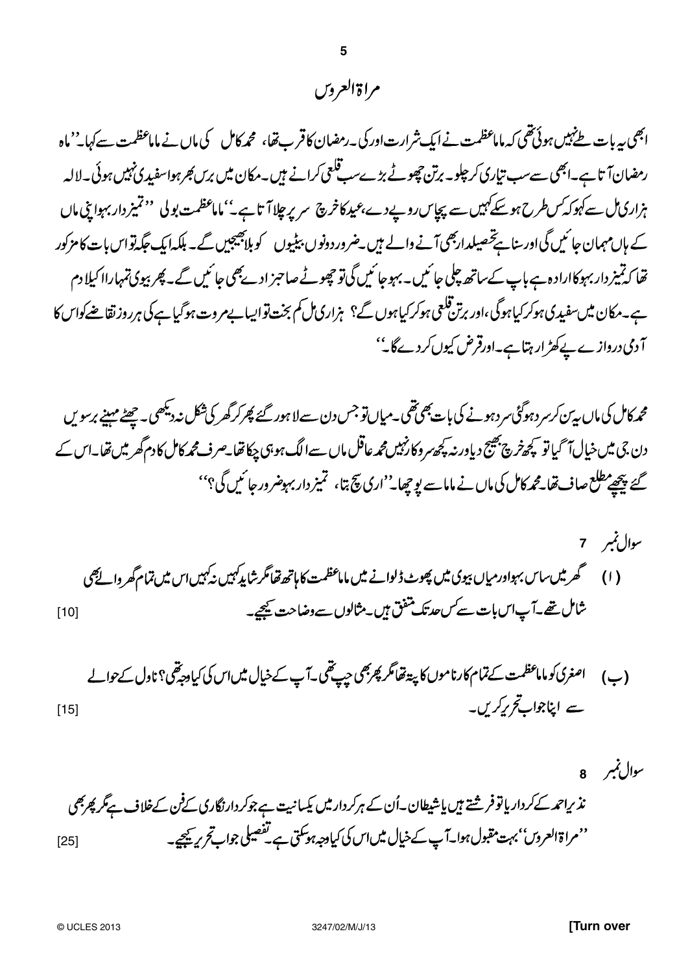# مراة العروس

**5**

ابھی ہہ بات طےنہیں ہوئی تھی کہ ماماعظمت نے ایک شرارت اور کی۔رمضان کاقر ب تھا، محمر کامل کی ماں نے ماماعظمت سے کہا۔'' ماہ رمضان آتا ہے۔ابھی سے سب تیاری کرچلو۔ برتن چھوٹے بڑےسب قلعی کرانے ہیں۔مکان میں برس بھرہواسفیدی نہیں ہوئی۔لالہ ہزاری ل سے کہوکہ کس طرح ہوسکے کہیں سے پچاس روپے دے عید کاخر چ سر پر چلا آ تاہے۔''ماماعظمت بولی ''تمیز دار بہوا پنی ماں کے ماں مہمان جا ئیں گی اور بنا ہےتھیلداربھی آنے والے ہیں یضرور دونوں بیٹیوں کو بلاجیجیں گے۔ بلکہایک جگہ تواس بات کامزکور تھا کہ تمیز دار بہوکاارادہ ہے باپ کے ساتھ چلی جائیں۔ بہوجا ئیں گی تو حجوٹے صاحبز ادےبھی جائیں گے۔ پھر بیوی تمہاراا کیلا دم ہے۔مکان میں سفیدی ہوکر کیاہوگی،اور برتن قلعی ہوکر کیاہوں گے؟ ہزاری مل کم بخت تواںیا بے مروت ہوگیا ہے کی ہرروز ثقا ضےکواس کا آ دی دروازے پے کھڑ ار ہتاہے۔اورقرض کیوں کر دےگا۔''

محمد کامل کی ماں بیرن کرسر دہوگئی سر دہونے کی بات بھی تھی۔میاں تو جس دن سے لا ہور گئے پھر کرگھر کی شکل نہ دیکھی۔حیثے مہینے برسویں دن جی میں خیال آ گیاتو کچھ *فرچ بھیج* دیاور نہ کچھ سر دکارنہیں محمہ عاقل ماں سےالگ ہو ہی چکاتھا۔صرف محمد کامل کا دم گھر میں تھا۔اس کے گئے پیچھے مطلع صاف تھا۔محمہ کامل کی ماں نے ماماسے یو چھا۔''اری پیج بتا، تمیز دار بہوضر ورجا <sup>س</sup>یں گی؟''

- سوال *نمبر* 7 (۱) گھرمیں ساس بہواورمیاں بیوی میں پھوٹ ڈلوانے میں ماماعظمت کا ہاتھ تھامگر شایدکہیں نہ کہیں اس میں تمام گھر والخ شامل تھے۔آپاس بات سے س حد تک متفق ہیں۔مثالوں سے وضاحت کیچیے۔ [10]
- اصغری کو ماماعظمت کے تمام کارناموں کا پیتہ تھا مگر پھربھی چیپ تھی۔آپ کے خیال میں اس کی کیاوجہ تھی؟ ناول کےحوالے  $(-)$ سے ایناجوابتح پرکریں۔ [15]
- سوال *فبر* 8 نذیراحمہ کےکردار یا تو فرشتے ہیں یاشیطان۔اُن کے ہرکردار میں یکسانیت ہے جوکردارنگاری کےفن کےخلاف ہےگر پھر بھی ''مراۃالعروں''بہت مقبول ہوا۔آپ کے خیال میںاس کی کیادجہ ہوسکتی ہے۔تفصیلی جوابتحریر ﷺ۔ [25]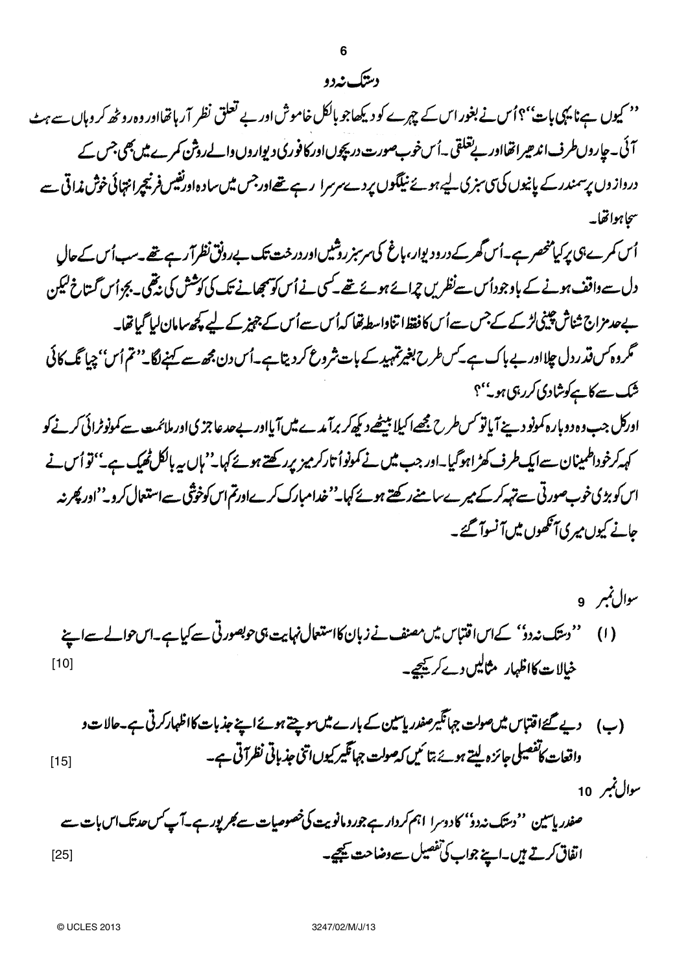# دستك نەدو

'' کیوں ہےنا یہی بات''؟اُس نے بغور اس کے چہرے کو دیکھاجو بالکل خاموش اور بے تعلق نظر آر ہاتھااور وہ روٹھ کر وہاں سے ہٹ آئی۔ جاروں طرف اندھیراتھااور بےنقلقی۔اُس خوب صورت در پچوں اور کافوری دیواروں والےروثن کمرے میں بھی جس کے دروازوں پر سندرکے پانیوں کی سی سبزی لیے ہوئے نیلگوں پردے مرسرا رہے تھےاور جس میں سادہ اورنفیس فرنیچرانتہائی خوش مذاتی سے سحاہواتھا۔

أس کمرے ہی پرکیا مخصر ہے۔اُس گھرکے درود یوار، ہاغ کی سرسبز روشیں اور درخت تک بےرونق نظر آرہے تھے۔سب اُس کے حال دل سے داقف ہونے کے باوجوداُس سےنظریں چرائے ہوئے تھے کسی نے اُس کو پچھانے تک کی کوشش کی بیٹھی۔بجزاُس گستاخ کیکن

بےحد مزاج شاش چینی لڑے کے جس سے اُس کا فقط اتناداسطہ تھا کہ اُس سے اُس کے جہزے لیے پچھ سامان لیا گیا تھا۔ گروہ کس فذردل چلااور بے پاک ہے۔کس طرح بغیرتم پید کے بات شروع کردیتا ہے۔اُس دن مجھ سے کہنےاگا۔''تم اُس' چیا تگ کائی شک سے کا ہےکوشادی کررہی ہو ٗ'؟

اورکل جب وہ دوبارہ کمونو دینے آیاتو *کس طرح مجھے اکیلا بیٹھے دیکھ کر بر*آمدے میں آیااور بے حدعاجزی اور ملائمت سے کمونوٹرائی کرنے کو کہ کرخوداطمینان سےایک طرف کھڑاہوگیا۔اور جب میں نے کمونواْ تارکرمیز پررکھتے ہوئے کہا۔''ہاں یہ پالکل ٹھیک ہے۔''توأس نے اس کو بڑی خوب صورتی سے تہہ کرکے میرے سامنے رکھتے ہوئے کہا۔''خدامبارک کرےاورتم اس کوخوشی سے استعال کرو۔''اور پھرند جانے کیوں میری آٹکھوں میں آنسوآ گئے۔

سوال **نمبر** و (۱) ''دستک نددؤ' کےاس اقتباس میں مصنف نے زبان کااستعال نہایت ہی حوبصورتی سے کیاہے۔اس حوالے سے اپنے خیالات کااظہار مثالیں دے کر کیچیے۔ [10]

(ب) دیے گئےاقتباس میںصولت جہانگیرصفدر پاسین کے بارے میں سوچتے ہوئے اپنے جذبات کااظہارکرتی ہے۔حالات و واقعات كأنفصيلى جائزه لييتے ہوئے بتائميں كەصولت جہاتگیر كيوں اتنى جذباتى نظراً تى ہے۔ [15] سوال <u>نمبر</u> 10

صفدر پاسین ''دستک نددؤ' کا دوسرا اہم کردار ہے جورومانو بیت کی خصوصیات سے گجر پور ہے۔آپ کس حد تک اس بات سے اتفاق کرتے ہیں۔اپنے جواب کی تفصیل سے وضاحت کیچیے۔ [25]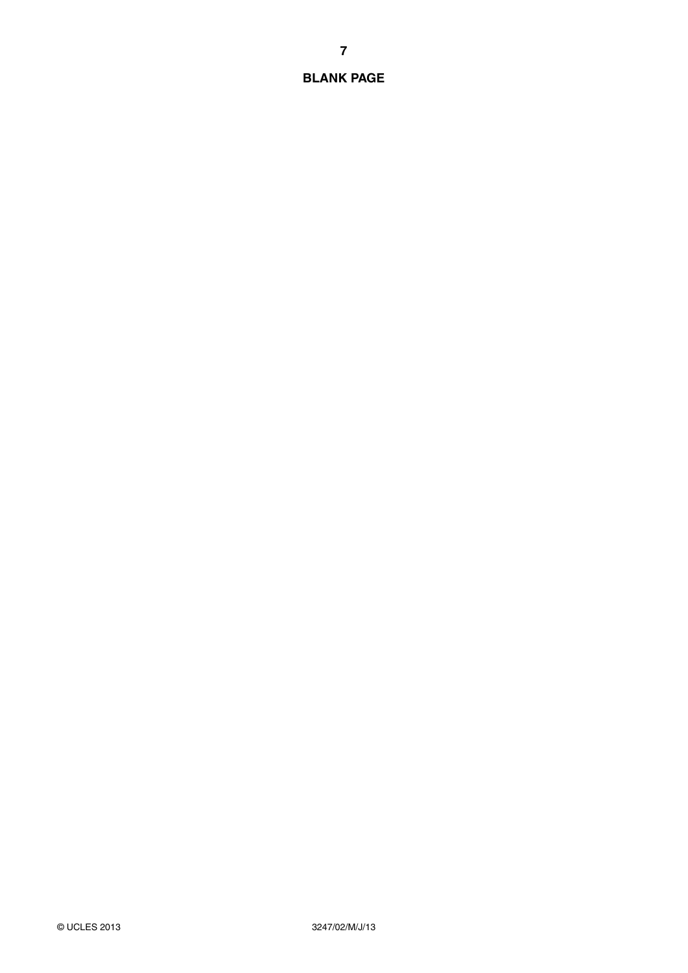## **BLANK PAGE**

**7**